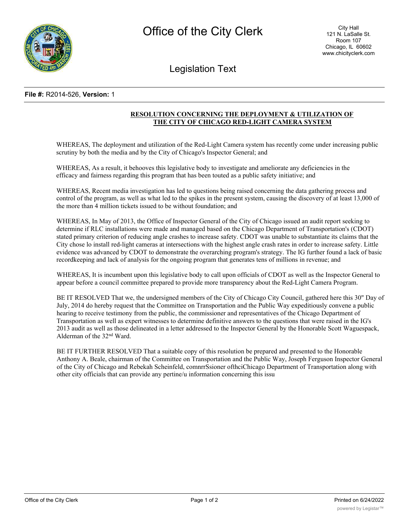

Legislation Text

## **File #:** R2014-526, **Version:** 1

## **RESOLUTION CONCERNING THE DEPLOYMENT & UTILIZATION OF THE CITY OF CHICAGO RED-LIGHT CAMERA SYSTEM**

WHEREAS, The deployment and utilization of the Red-Light Camera system has recently come under increasing public scrutiny by both the media and by the City of Chicago's Inspector General; and

WHEREAS, As a result, it behooves this legislative body to investigate and ameliorate any deficiencies in the efficacy and fairness regarding this program that has been touted as a public safety initiative; and

WHEREAS, Recent media investigation has led to questions being raised concerning the data gathering process and control of the program, as well as what led to the spikes in the present system, causing the discovery of at least 13,000 of the more than 4 million tickets issued to be without foundation; and

WHEREAS, In May of 2013, the Office of Inspector General of the City of Chicago issued an audit report seeking to determine if RLC installations were made and managed based on the Chicago Department of Transportation's (CDOT) stated primary criterion of reducing angle crashes to increase safety. CDOT was unable to substantiate its claims that the City chose lo install red-light cameras at intersections with the highest angle crash rates in order to increase safety. Little evidence was advanced by CDOT to demonstrate the overarching program's strategy. The IG further found a lack of basic recordkeeping and lack of analysis for the ongoing program that generates tens of millions in revenue; and

WHEREAS, It is incumbent upon this legislative body to call upon officials of CDOT as well as the Inspector General to appear before a council committee prepared to provide more transparency about the Red-Light Camera Program.

BE IT RESOLVED That we, the undersigned members of the City of Chicago City Council, gathered here this 30" Day of July, 2014 do hereby request that the Committee on Transportation and the Public Way expeditiously convene a public hearing to receive testimony from the public, the commissioner and representatives of the Chicago Department of Transportation as well as expert witnesses to determine definitive answers to the questions that were raised in the IG's 2013 audit as well as those delineated in a letter addressed to the Inspector General by the Honorable Scott Waguespack, Alderman of the 32nd Ward.

BE IT FURTHER RESOLVED That a suitable copy of this resolution be prepared and presented to the Honorable Anthony A. Beale, chairman of the Committee on Transportation and the Public Way, Joseph Ferguson Inspector General of the City of Chicago and Rebekah Scheinfeld, comnrrSsioner ofthciChicago Department of Transportation along with other city officials that can provide any pertine/u information concerning this issu